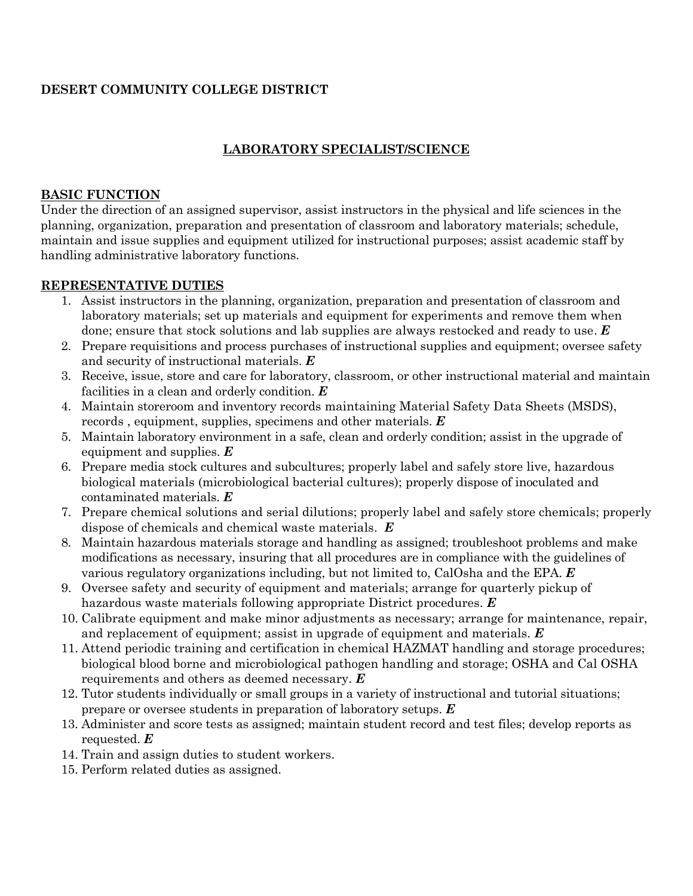# **DESERT COMMUNITY COLLEGE DISTRICT**

## **LABORATORY SPECIALIST/SCIENCE**

#### **BASIC FUNCTION**

Under the direction of an assigned supervisor, assist instructors in the physical and life sciences in the planning, organization, preparation and presentation of classroom and laboratory materials; schedule, maintain and issue supplies and equipment utilized for instructional purposes; assist academic staff by handling administrative laboratory functions.

#### **REPRESENTATIVE DUTIES**

- 1. Assist instructors in the planning, organization, preparation and presentation of classroom and laboratory materials; set up materials and equipment for experiments and remove them when done; ensure that stock solutions and lab supplies are always restocked and ready to use. *E*
- 2. Prepare requisitions and process purchases of instructional supplies and equipment; oversee safety and security of instructional materials. *E*
- 3. Receive, issue, store and care for laboratory, classroom, or other instructional material and maintain facilities in a clean and orderly condition. *E*
- 4. Maintain storeroom and inventory records maintaining Material Safety Data Sheets (MSDS), records , equipment, supplies, specimens and other materials. *E*
- 5. Maintain laboratory environment in a safe, clean and orderly condition; assist in the upgrade of equipment and supplies. *E*
- 6. Prepare media stock cultures and subcultures; properly label and safely store live, hazardous biological materials (microbiological bacterial cultures); properly dispose of inoculated and contaminated materials. *E*
- 7. Prepare chemical solutions and serial dilutions; properly label and safely store chemicals; properly dispose of chemicals and chemical waste materials. *E*
- 8. Maintain hazardous materials storage and handling as assigned; troubleshoot problems and make modifications as necessary, insuring that all procedures are in compliance with the guidelines of various regulatory organizations including, but not limited to, CalOsha and the EPA. *E*
- 9. Oversee safety and security of equipment and materials; arrange for quarterly pickup of hazardous waste materials following appropriate District procedures. *E*
- 10. Calibrate equipment and make minor adjustments as necessary; arrange for maintenance, repair, and replacement of equipment; assist in upgrade of equipment and materials. *E*
- 11. Attend periodic training and certification in chemical HAZMAT handling and storage procedures; biological blood borne and microbiological pathogen handling and storage; OSHA and Cal OSHA requirements and others as deemed necessary. *E*
- 12. Tutor students individually or small groups in a variety of instructional and tutorial situations; prepare or oversee students in preparation of laboratory setups. *E*
- 13. Administer and score tests as assigned; maintain student record and test files; develop reports as requested. *E*
- 14. Train and assign duties to student workers.
- 15. Perform related duties as assigned.